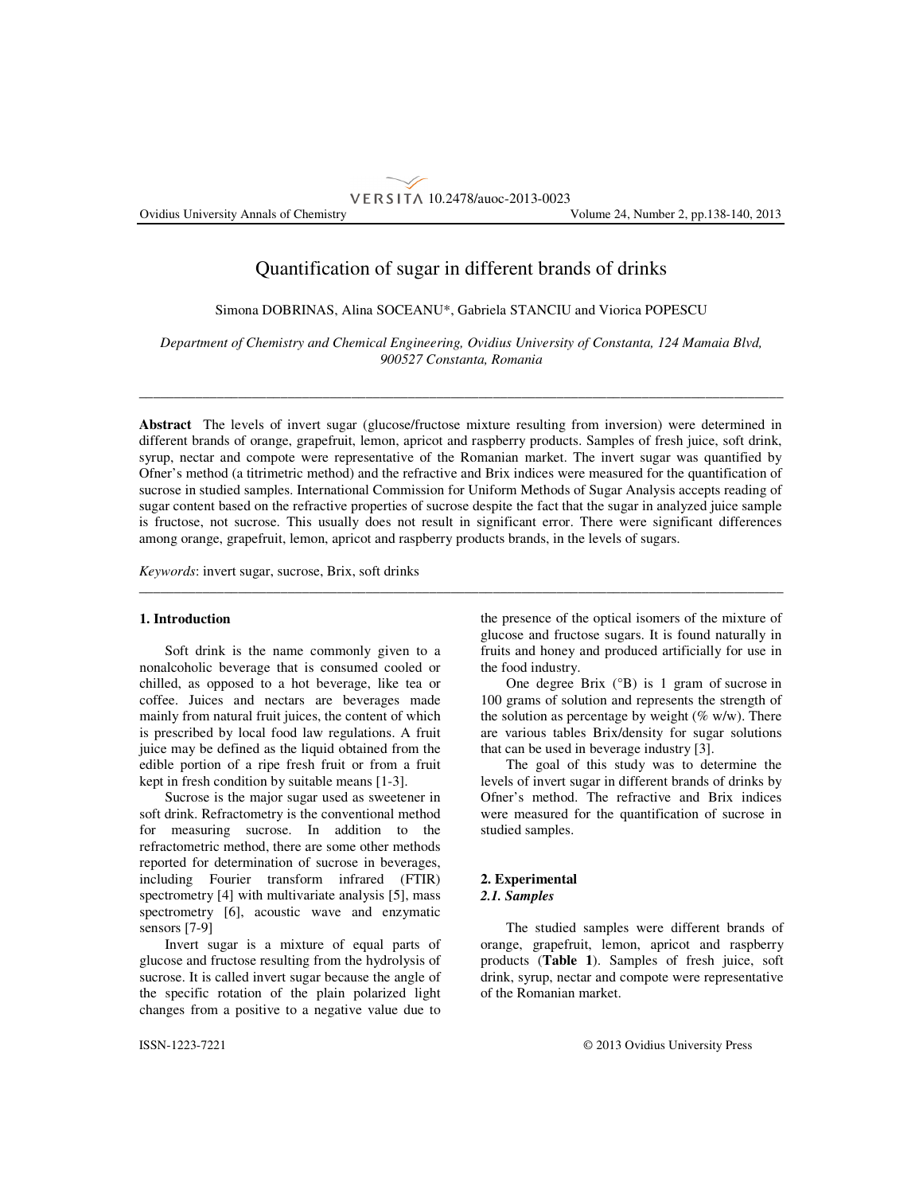# Quantification of sugar in different brands of drinks

VERSITA 10.2478/auoc-2013-0023

Simona DOBRINAS, Alina SOCEANU\*, Gabriela STANCIU and Viorica POPESCU

*Department of Chemistry and Chemical Engineering, Ovidius University of Constanta, 124 Mamaia Blvd, 900527 Constanta, Romania* 

\_\_\_\_\_\_\_\_\_\_\_\_\_\_\_\_\_\_\_\_\_\_\_\_\_\_\_\_\_\_\_\_\_\_\_\_\_\_\_\_\_\_\_\_\_\_\_\_\_\_\_\_\_\_\_\_\_\_\_\_\_\_\_\_\_\_\_\_\_\_\_\_\_\_\_\_\_\_\_\_\_\_\_\_\_\_\_\_\_\_\_

**Abstract** The levels of invert sugar (glucose/fructose mixture resulting from inversion) were determined in different brands of orange, grapefruit, lemon, apricot and raspberry products. Samples of fresh juice, soft drink, syrup, nectar and compote were representative of the Romanian market. The invert sugar was quantified by Ofner's method (a titrimetric method) and the refractive and Brix indices were measured for the quantification of sucrose in studied samples. International Commission for Uniform Methods of Sugar Analysis accepts reading of sugar content based on the refractive properties of sucrose despite the fact that the sugar in analyzed juice sample is fructose, not sucrose. This usually does not result in significant error. There were significant differences among orange, grapefruit, lemon, apricot and raspberry products brands, in the levels of sugars.

\_\_\_\_\_\_\_\_\_\_\_\_\_\_\_\_\_\_\_\_\_\_\_\_\_\_\_\_\_\_\_\_\_\_\_\_\_\_\_\_\_\_\_\_\_\_\_\_\_\_\_\_\_\_\_\_\_\_\_\_\_\_\_\_\_\_\_\_\_\_\_\_\_\_\_\_\_\_\_\_\_\_\_\_\_\_\_\_\_\_\_

*Keywords*: invert sugar, sucrose, Brix, soft drinks

# **1. Introduction**

Soft drink is the name commonly given to a nonalcoholic beverage that is consumed cooled or chilled, as opposed to a hot beverage, like tea or coffee. Juices and nectars are beverages made mainly from natural fruit juices, the content of which is prescribed by local food law regulations. A fruit juice may be defined as the liquid obtained from the edible portion of a ripe fresh fruit or from a fruit kept in fresh condition by suitable means [1-3].

Sucrose is the major sugar used as sweetener in soft drink. Refractometry is the conventional method for measuring sucrose. In addition to the refractometric method, there are some other methods reported for determination of sucrose in beverages, including Fourier transform infrared (FTIR) spectrometry [4] with multivariate analysis [5], mass spectrometry [6], acoustic wave and enzymatic sensors [7-9]

Invert sugar is a mixture of equal parts of glucose and fructose resulting from the hydrolysis of sucrose. It is called invert sugar because the angle of the specific rotation of the plain polarized light changes from a positive to a negative value due to

the presence of the optical isomers of the mixture of glucose and fructose sugars. It is found naturally in fruits and honey and produced artificially for use in the food industry.

One degree Brix (°B) is 1 gram of sucrose in 100 grams of solution and represents the strength of the solution as percentage by weight ( $\%$  w/w). There are various tables Brix/density for sugar solutions that can be used in beverage industry [3].

The goal of this study was to determine the levels of invert sugar in different brands of drinks by Ofner's method. The refractive and Brix indices were measured for the quantification of sucrose in studied samples.

# **2. Experimental**  *2.1. Samples*

The studied samples were different brands of orange, grapefruit, lemon, apricot and raspberry products (**Table 1**). Samples of fresh juice, soft drink, syrup, nectar and compote were representative of the Romanian market.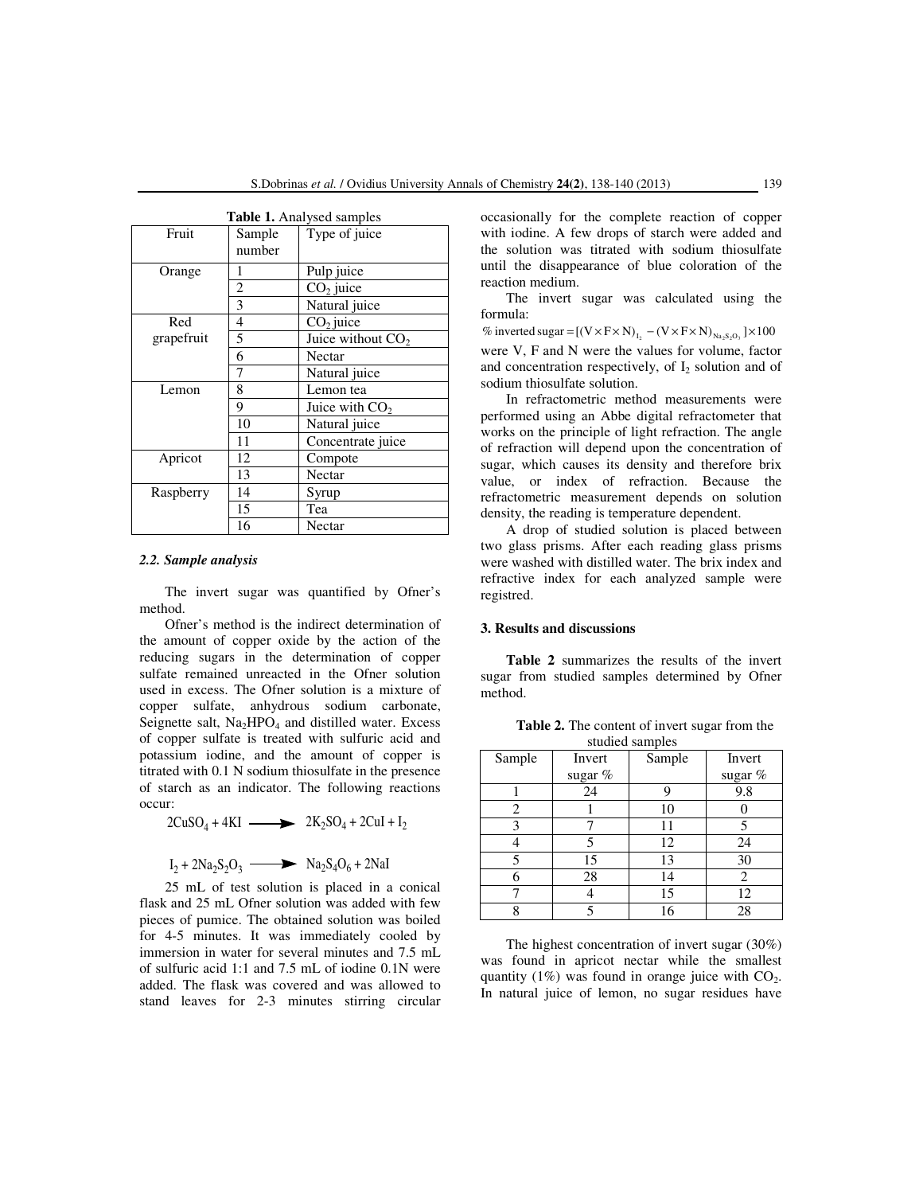| <b>Table 1.</b> Analysed samples |                |                     |  |  |  |
|----------------------------------|----------------|---------------------|--|--|--|
| Fruit                            | Sample         | Type of juice       |  |  |  |
|                                  | number         |                     |  |  |  |
| Orange                           | 1              | Pulp juice          |  |  |  |
|                                  | $\overline{c}$ | $CO2$ juice         |  |  |  |
|                                  | 3              | Natural juice       |  |  |  |
| Red                              | 4              | $CO2$ juice         |  |  |  |
| grapefruit                       | 5              | Juice without $CO2$ |  |  |  |
|                                  | 6              | Nectar              |  |  |  |
|                                  | 7              | Natural juice       |  |  |  |
| Lemon                            | 8              | Lemon tea           |  |  |  |
|                                  | 9              | Juice with $CO2$    |  |  |  |
|                                  | 10             | Natural juice       |  |  |  |
|                                  | 11             | Concentrate juice   |  |  |  |
| Apricot                          | 12             | Compote             |  |  |  |
|                                  | 13             | Nectar              |  |  |  |
| Raspberry                        | 14             | Syrup               |  |  |  |
|                                  | 15             | Tea                 |  |  |  |
|                                  | 16             | Nectar              |  |  |  |

#### *2.2. Sample analysis*

The invert sugar was quantified by Ofner's method.

Ofner's method is the indirect determination of the amount of copper oxide by the action of the reducing sugars in the determination of copper sulfate remained unreacted in the Ofner solution used in excess. The Ofner solution is a mixture of copper sulfate, anhydrous sodium carbonate, Seignette salt,  $Na<sub>2</sub>HPO<sub>4</sub>$  and distilled water. Excess of copper sulfate is treated with sulfuric acid and potassium iodine, and the amount of copper is titrated with 0.1 N sodium thiosulfate in the presence of starch as an indicator. The following reactions occur:

 $2CuSO_4 + 4KI$   $\longrightarrow$   $2K_2SO_4 + 2CuI + I_2$ 

 $I_2 + 2Na_2S_2O_3 \longrightarrow \text{Na}_2S_4O_6 + 2\text{Na}$ 

25 mL of test solution is placed in a conical flask and 25 mL Ofner solution was added with few pieces of pumice. The obtained solution was boiled for 4-5 minutes. It was immediately cooled by immersion in water for several minutes and 7.5 mL of sulfuric acid 1:1 and 7.5 mL of iodine 0.1N were added. The flask was covered and was allowed to stand leaves for 2-3 minutes stirring circular occasionally for the complete reaction of copper with iodine. A few drops of starch were added and the solution was titrated with sodium thiosulfate until the disappearance of blue coloration of the reaction medium.

The invert sugar was calculated using the formula:

% inverted sugar =  $[(V \times F \times N)_{I_2} - (V \times F \times N)_{N_a S_2 O_3}] \times 100$ were V, F and N were the values for volume, factor and concentration respectively, of  $I_2$  solution and of sodium thiosulfate solution.

In refractometric method measurements were performed using an Abbe digital refractometer that works on the principle of light refraction. The angle of refraction will depend upon the concentration of sugar, which causes its density and therefore brix value, or index of refraction. Because the refractometric measurement depends on solution density, the reading is temperature dependent.

A drop of studied solution is placed between two glass prisms. After each reading glass prisms were washed with distilled water. The brix index and refractive index for each analyzed sample were registred.

## **3. Results and discussions**

**Table 2** summarizes the results of the invert sugar from studied samples determined by Ofner method.

**Table 2.** The content of invert sugar from the studied samples

| Sample | Invert    | Sample | Invert  |
|--------|-----------|--------|---------|
|        | sugar $%$ |        | sugar % |
|        | 24        | 9      | 9.8     |
| 2      |           | 10     |         |
| 3      |           | 11     |         |
|        | 5         | 12     | 24      |
| 5      | 15        | 13     | 30      |
|        | 28        | 14     | 2       |
|        |           | 15     | 12      |
|        |           | 16     | 28      |

The highest concentration of invert sugar (30%) was found in apricot nectar while the smallest quantity  $(1\%)$  was found in orange juice with  $CO<sub>2</sub>$ . In natural juice of lemon, no sugar residues have